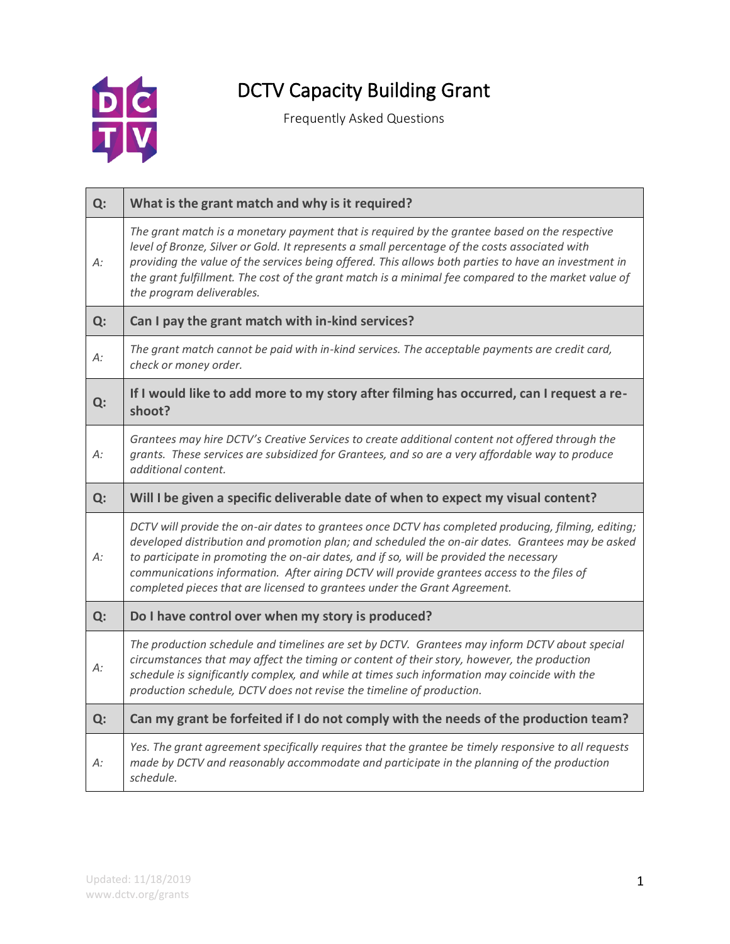

## DCTV Capacity Building Grant

Frequently Asked Questions

| Q: | What is the grant match and why is it required?                                                                                                                                                                                                                                                                                                                                                                                                                               |
|----|-------------------------------------------------------------------------------------------------------------------------------------------------------------------------------------------------------------------------------------------------------------------------------------------------------------------------------------------------------------------------------------------------------------------------------------------------------------------------------|
| А: | The grant match is a monetary payment that is required by the grantee based on the respective<br>level of Bronze, Silver or Gold. It represents a small percentage of the costs associated with<br>providing the value of the services being offered. This allows both parties to have an investment in<br>the grant fulfillment. The cost of the grant match is a minimal fee compared to the market value of<br>the program deliverables.                                   |
| Q: | Can I pay the grant match with in-kind services?                                                                                                                                                                                                                                                                                                                                                                                                                              |
| А: | The grant match cannot be paid with in-kind services. The acceptable payments are credit card,<br>check or money order.                                                                                                                                                                                                                                                                                                                                                       |
| Q: | If I would like to add more to my story after filming has occurred, can I request a re-<br>shoot?                                                                                                                                                                                                                                                                                                                                                                             |
| A: | Grantees may hire DCTV's Creative Services to create additional content not offered through the<br>grants. These services are subsidized for Grantees, and so are a very affordable way to produce<br>additional content.                                                                                                                                                                                                                                                     |
| Q: | Will I be given a specific deliverable date of when to expect my visual content?                                                                                                                                                                                                                                                                                                                                                                                              |
| A: | DCTV will provide the on-air dates to grantees once DCTV has completed producing, filming, editing;<br>developed distribution and promotion plan; and scheduled the on-air dates. Grantees may be asked<br>to participate in promoting the on-air dates, and if so, will be provided the necessary<br>communications information. After airing DCTV will provide grantees access to the files of<br>completed pieces that are licensed to grantees under the Grant Agreement. |
| Q: | Do I have control over when my story is produced?                                                                                                                                                                                                                                                                                                                                                                                                                             |
| А: | The production schedule and timelines are set by DCTV. Grantees may inform DCTV about special<br>circumstances that may affect the timing or content of their story, however, the production<br>schedule is significantly complex, and while at times such information may coincide with the<br>production schedule, DCTV does not revise the timeline of production.                                                                                                         |
| Q: | Can my grant be forfeited if I do not comply with the needs of the production team?                                                                                                                                                                                                                                                                                                                                                                                           |
| А: | Yes. The grant agreement specifically requires that the grantee be timely responsive to all requests<br>made by DCTV and reasonably accommodate and participate in the planning of the production<br>schedule.                                                                                                                                                                                                                                                                |